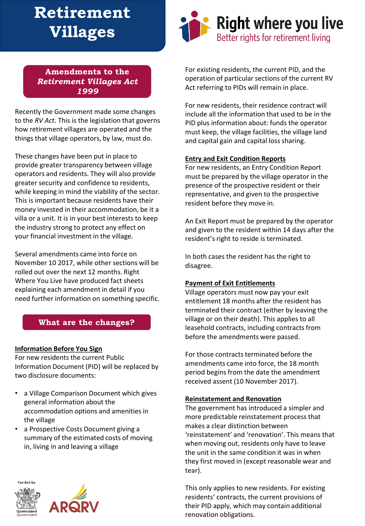# **Retirement Villages**

## **Amendments to the**  *Retirement Villages Act 1999*

Recently the Government made some changes to the *RV Act*. This is the legislation that governs how retirement villages are operated and the things that village operators, by law, must do.

These changes have been put in place to provide greater transparency between village operators and residents. They will also provide greater security and confidence to residents, while keeping in mind the viability of the sector. This is important because residents have their money invested in their accommodation, be it a villa or a unit. It is in your best interests to keep the industry strong to protect any effect on your financial investment in the village.

Several amendments came into force on November 10 2017, while other sections will be rolled out over the next 12 months. Right Where You Live have produced fact sheets explaining each amendment in detail if you need further information on something specific.

# **What are the changes?**

## **Information Before You Sign**

For new residents the current Public Information Document (PID) will be replaced by two disclosure documents:

- a Village Comparison Document which gives general information about the accommodation options and amenities in the village
- a Prospective Costs Document giving a summary of the estimated costs of moving in, living in and leaving a village









For existing residents, the current PID, and the operation of particular sections of the current RV Act referring to PIDs will remain in place.

For new residents, their residence contract will include all the information that used to be in the PID plus information about: funds the operator must keep, the village facilities, the village land and capital gain and capital loss sharing.

# **Entry and Exit Condition Reports**

For new residents, an Entry Condition Report must be prepared by the village operator in the presence of the prospective resident or their representative, and given to the prospective resident before they move in.

An Exit Report must be prepared by the operator and given to the resident within 14 days after the resident's right to reside is terminated.

In both cases the resident has the right to disagree.

# **Payment of Exit Entitlements**

Village operators must now pay your exit entitlement 18 months after the resident has terminated their contract (either by leaving the village or on their death). This applies to all leasehold contracts, including contracts from before the amendments were passed.

For those contracts terminated before the amendments came into force, the 18 month period begins from the date the amendment received assent (10 November 2017).

# **Reinstatement and Renovation**

The government has introduced a simpler and more predictable reinstatement process that makes a clear distinction between 'reinstatement' and 'renovation'. This means that when moving out, residents only have to leave the unit in the same condition it was in when they first moved in (except reasonable wear and tear).

This only applies to new residents. For existing residents' contracts, the current provisions of their PID apply, which may contain additional renovation obligations.